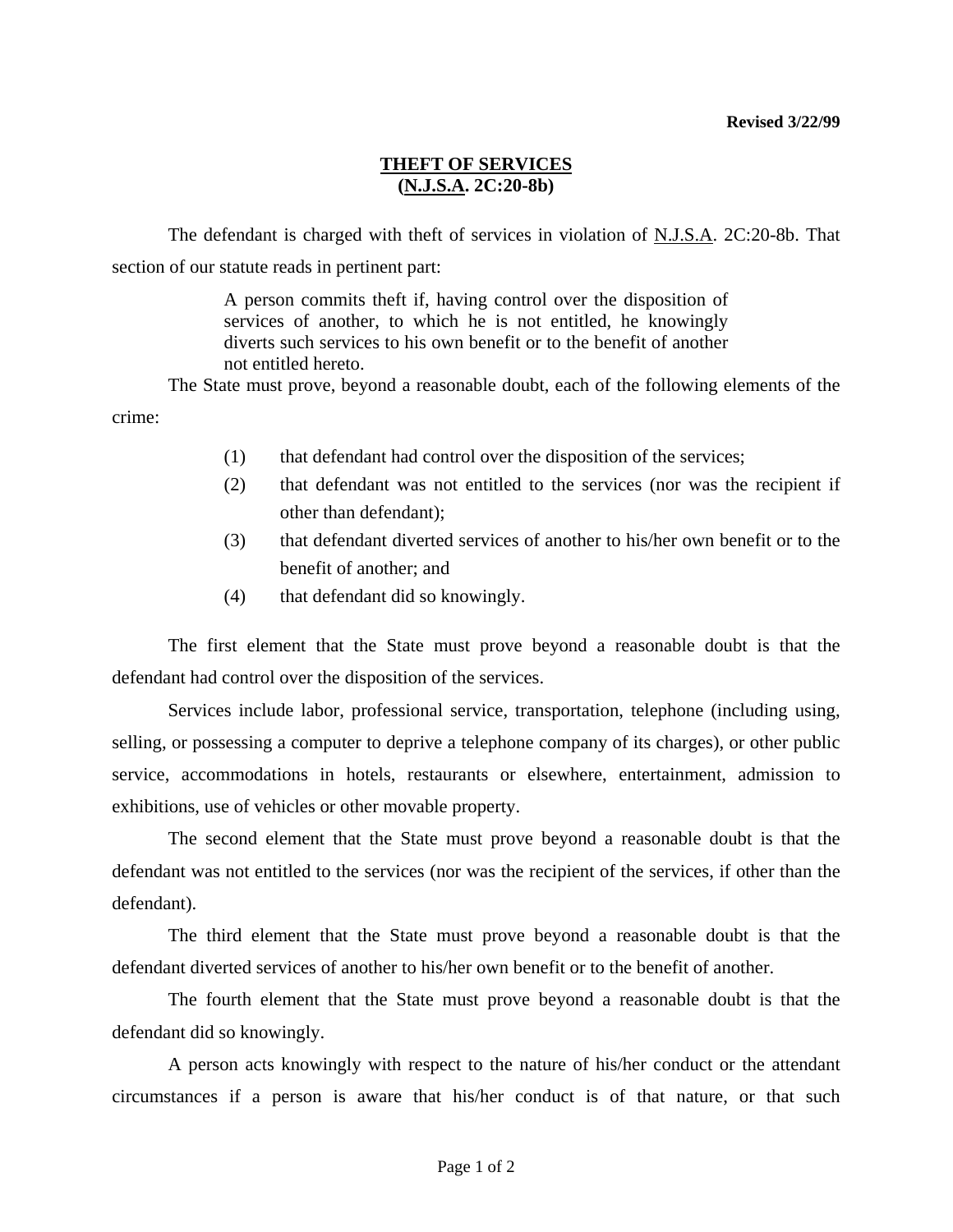## **THEFT OF SERVICES (N.J.S.A. 2C:20-8b)**

The defendant is charged with theft of services in violation of N.J.S.A. 2C:20-8b. That section of our statute reads in pertinent part:

> A person commits theft if, having control over the disposition of services of another, to which he is not entitled, he knowingly diverts such services to his own benefit or to the benefit of another not entitled hereto.

 The State must prove, beyond a reasonable doubt, each of the following elements of the crime:

- (1) that defendant had control over the disposition of the services;
- (2) that defendant was not entitled to the services (nor was the recipient if other than defendant);
- (3) that defendant diverted services of another to his/her own benefit or to the benefit of another; and
- (4) that defendant did so knowingly.

 The first element that the State must prove beyond a reasonable doubt is that the defendant had control over the disposition of the services.

 Services include labor, professional service, transportation, telephone (including using, selling, or possessing a computer to deprive a telephone company of its charges), or other public service, accommodations in hotels, restaurants or elsewhere, entertainment, admission to exhibitions, use of vehicles or other movable property.

 The second element that the State must prove beyond a reasonable doubt is that the defendant was not entitled to the services (nor was the recipient of the services, if other than the defendant).

 The third element that the State must prove beyond a reasonable doubt is that the defendant diverted services of another to his/her own benefit or to the benefit of another.

 The fourth element that the State must prove beyond a reasonable doubt is that the defendant did so knowingly.

 A person acts knowingly with respect to the nature of his/her conduct or the attendant circumstances if a person is aware that his/her conduct is of that nature, or that such